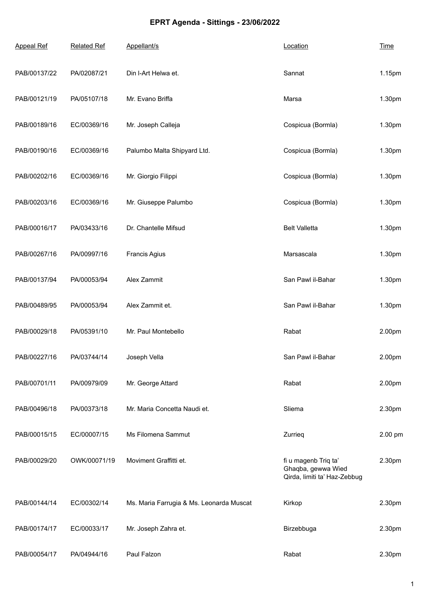## **EPRT Agenda - Sittings - 23/06/2022**

| <b>Appeal Ref</b> | <b>Related Ref</b> | Appellant/s                              | Location                                                                   | <b>Time</b> |
|-------------------|--------------------|------------------------------------------|----------------------------------------------------------------------------|-------------|
| PAB/00137/22      | PA/02087/21        | Din I-Art Helwa et.                      | Sannat                                                                     | 1.15pm      |
| PAB/00121/19      | PA/05107/18        | Mr. Evano Briffa                         | Marsa                                                                      | 1.30pm      |
| PAB/00189/16      | EC/00369/16        | Mr. Joseph Calleja                       | Cospicua (Bormla)                                                          | 1.30pm      |
| PAB/00190/16      | EC/00369/16        | Palumbo Malta Shipyard Ltd.              | Cospicua (Bormla)                                                          | 1.30pm      |
| PAB/00202/16      | EC/00369/16        | Mr. Giorgio Filippi                      | Cospicua (Bormla)                                                          | 1.30pm      |
| PAB/00203/16      | EC/00369/16        | Mr. Giuseppe Palumbo                     | Cospicua (Bormla)                                                          | 1.30pm      |
| PAB/00016/17      | PA/03433/16        | Dr. Chantelle Mifsud                     | <b>Belt Valletta</b>                                                       | 1.30pm      |
| PAB/00267/16      | PA/00997/16        | Francis Agius                            | Marsascala                                                                 | 1.30pm      |
| PAB/00137/94      | PA/00053/94        | Alex Zammit                              | San Pawl il-Bahar                                                          | 1.30pm      |
| PAB/00489/95      | PA/00053/94        | Alex Zammit et.                          | San Pawl il-Bahar                                                          | 1.30pm      |
| PAB/00029/18      | PA/05391/10        | Mr. Paul Montebello                      | Rabat                                                                      | 2.00pm      |
| PAB/00227/16      | PA/03744/14        | Joseph Vella                             | San Pawl il-Bahar                                                          | 2.00pm      |
| PAB/00701/11      | PA/00979/09        | Mr. George Attard                        | Rabat                                                                      | 2.00pm      |
| PAB/00496/18      | PA/00373/18        | Mr. Maria Concetta Naudi et.             | Sliema                                                                     | 2.30pm      |
| PAB/00015/15      | EC/00007/15        | Ms Filomena Sammut                       | Zurrieg                                                                    | 2.00 pm     |
| PAB/00029/20      | OWK/00071/19       | Moviment Graffitti et.                   | fi u magenb Triq ta'<br>Ghaqba, gewwa Wied<br>Qirda, limiti ta' Haz-Zebbug | 2.30pm      |
| PAB/00144/14      | EC/00302/14        | Ms. Maria Farrugia & Ms. Leonarda Muscat | Kirkop                                                                     | 2.30pm      |
| PAB/00174/17      | EC/00033/17        | Mr. Joseph Zahra et.                     | Birzebbuga                                                                 | 2.30pm      |
| PAB/00054/17      | PA/04944/16        | Paul Falzon                              | Rabat                                                                      | 2.30pm      |